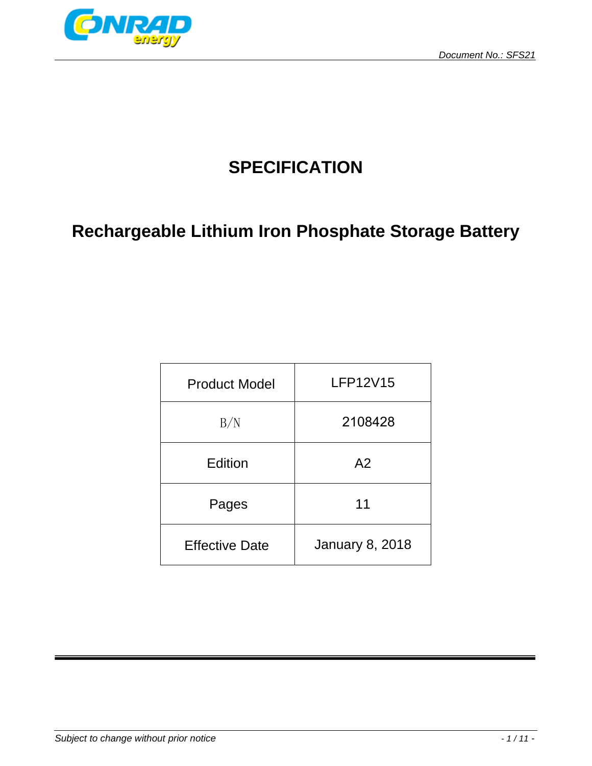

# **SPECIFICATION**

# **Rechargeable Lithium Iron Phosphate Storage Battery**

| <b>Product Model</b>  | <b>LFP12V15</b>        |  |
|-----------------------|------------------------|--|
| B/N                   | 2108428                |  |
| Edition               | A <sub>2</sub>         |  |
| Pages                 | 11                     |  |
| <b>Effective Date</b> | <b>January 8, 2018</b> |  |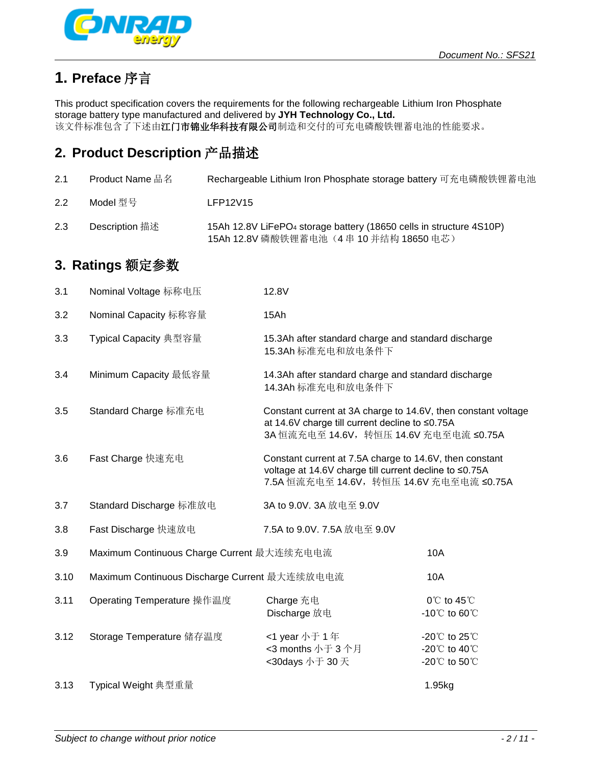

# **1. Preface** 序言

This product specification covers the requirements for the following rechargeable Lithium Iron Phosphate storage battery type manufactured and delivered by **JYH Technology Co., Ltd.** 该文件标准包含了下述由江门市锦业华科技有限公司制造和交付的可充电磷酸铁锂蓄电池的性能要求。

# **2. Product Description** 产品描述

| 2.1 | <b>Product Name 品名</b> | Rechargeable Lithium Iron Phosphate storage battery 可充电磷酸铁锂蓄电池                                                             |
|-----|------------------------|----------------------------------------------------------------------------------------------------------------------------|
| 2.2 | Model 型 묵              | LFP12V15                                                                                                                   |
| 2.3 | Description 描述         | 15Ah 12.8V LiFePO <sub>4</sub> storage battery (18650 cells in structure 4S10P)<br>15Ah 12.8V 磷酸铁锂蓄电池 (4串 10 并结构 18650 电芯) |

# **3. Ratings** 额定参数

| 3.1  | Nominal Voltage 标称电压                          | 12.8V                                                                                                                                                         |                                                                         |
|------|-----------------------------------------------|---------------------------------------------------------------------------------------------------------------------------------------------------------------|-------------------------------------------------------------------------|
| 3.2  | Nominal Capacity 标称容量                         | 15Ah                                                                                                                                                          |                                                                         |
| 3.3  | Typical Capacity 典型容量                         | 15.3Ah after standard charge and standard discharge<br>15.3Ah 标准充电和放电条件下                                                                                      |                                                                         |
| 3.4  | Minimum Capacity 最低容量                         | 14.3Ah after standard charge and standard discharge<br>14.3Ah 标准充电和放电条件下                                                                                      |                                                                         |
| 3.5  | Standard Charge 标准充电                          | at 14.6V charge till current decline to ≤0.75A<br>3A 恒流充电至 14.6V, 转恒压 14.6V 充电至电流 ≤0.75A                                                                      | Constant current at 3A charge to 14.6V, then constant voltage           |
| 3.6  | Fast Charge 快速充电                              | Constant current at 7.5A charge to 14.6V, then constant<br>voltage at 14.6V charge till current decline to ≤0.75A<br>7.5A 恒流充电至 14.6V, 转恒压 14.6V 充电至电流 ≤0.75A |                                                                         |
| 3.7  | Standard Discharge 标准放电                       | 3A to 9.0V. 3A 放电至 9.0V                                                                                                                                       |                                                                         |
| 3.8  | Fast Discharge 快速放电                           | 7.5A to 9.0V. 7.5A 放电至 9.0V                                                                                                                                   |                                                                         |
| 3.9  | Maximum Continuous Charge Current 最大连续充电电流    |                                                                                                                                                               | 10A                                                                     |
| 3.10 | Maximum Continuous Discharge Current 最大连续放电电流 |                                                                                                                                                               | 10A                                                                     |
| 3.11 | Operating Temperature 操作温度                    | Charge 充电<br>Discharge 放电                                                                                                                                     | $0^{\circ}$ C to 45 $^{\circ}$ C<br>-10 $^{\circ}$ C to 60 $^{\circ}$ C |
| 3.12 | Storage Temperature 储存温度                      | <1 year 小于 1 年<br><3 months 小于 3 个月<br><30days 小于 30 天                                                                                                        | -20℃ to 25℃<br>-20℃ to 40℃<br>-20℃ to 50℃                               |
| 3.13 | Typical Weight 典型重量                           |                                                                                                                                                               | 1.95kg                                                                  |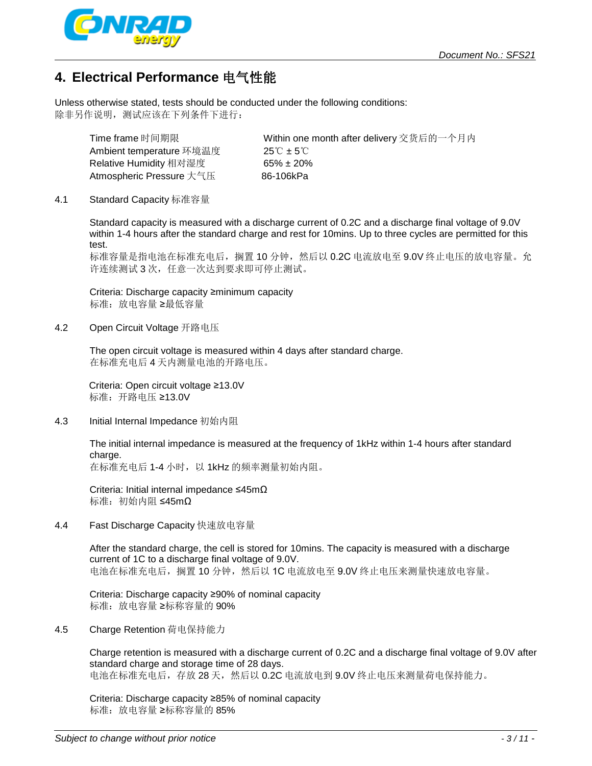

### **4. Electrical Performance** 电气性能

Unless otherwise stated, tests should be conducted under the following conditions: 除非另作说明,测试应该在下列条件下进行:

Ambient temperature 环境温度 25℃ ± 5℃ Relative Humidity 相对湿度 65% ± 20%

 Time frame 时间期限 Within one month after delivery 交货后的一个月内 Atmospheric Pressure 大气压 86-106kPa

### 4.1 Standard Capacity 标准容量

Standard capacity is measured with a discharge current of 0.2C and a discharge final voltage of 9.0V within 1-4 hours after the standard charge and rest for 10mins. Up to three cycles are permitted for this test.

标准容量是指电池在标准充电后,搁置 10 分钟,然后以 0.2C 电流放电至 9.0V 终止电压的放电容量。允 许连续测试 3 次, 任意一次达到要求即可停止测试。

Criteria: Discharge capacity ≥minimum capacity 标准:放电容量 ≥最低容量

4.2 Open Circuit Voltage 开路电压

The open circuit voltage is measured within 4 days after standard charge. 在标准充电后 4 天内测量电池的开路电压。

 Criteria: Open circuit voltage ≥13.0V 标准:开路电压 ≥13.0V

4.3 Initial Internal Impedance 初始内阻

The initial internal impedance is measured at the frequency of 1kHz within 1-4 hours after standard charge.

在标准充电后 1-4 小时, 以 1kHz 的频率测量初始内阻。

Criteria: Initial internal impedance ≤45mΩ 标准:初始内阻 ≤45mΩ

4.4 Fast Discharge Capacity 快速放电容量

After the standard charge, the cell is stored for 10mins. The capacity is measured with a discharge current of 1C to a discharge final voltage of 9.0V. 电池在标准充电后,搁置 10 分钟,然后以 1C 电流放电至 9.0V 终止电压来测量快速放电容量。

Criteria: Discharge capacity ≥90% of nominal capacity 标准: 放电容量 ≥标称容量的 90%

4.5 Charge Retention 荷电保持能力

Charge retention is measured with a discharge current of 0.2C and a discharge final voltage of 9.0V after standard charge and storage time of 28 days. 电池在标准充电后,存放28天,然后以 0.2C 电流放电到 9.0V 终止电压来测量荷电保持能力。

Criteria: Discharge capacity ≥85% of nominal capacity 标准: 放电容量 ≥标称容量的 85%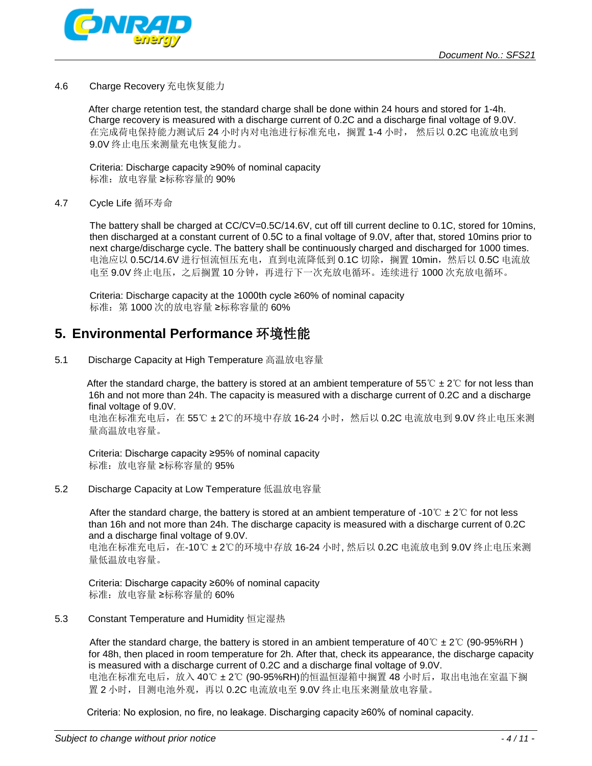

#### 4.6 Charge Recovery 充电恢复能力

After charge retention test, the standard charge shall be done within 24 hours and stored for 1-4h. Charge recovery is measured with a discharge current of 0.2C and a discharge final voltage of 9.0V. 在完成荷电保持能力测试后 24 小时内对电池进行标准充电, 搁置 1-4 小时, 然后以 0.2C 电流放电到 9.0V 终止电压来测量充电恢复能力。

Criteria: Discharge capacity ≥90% of nominal capacity 标准:放电容量 ≥标称容量的 90%

#### 4.7 Cycle Life 循环寿命

The battery shall be charged at CC/CV=0.5C/14.6V, cut off till current decline to 0.1C, stored for 10mins, then discharged at a constant current of 0.5C to a final voltage of 9.0V, after that, stored 10mins prior to next charge/discharge cycle. The battery shall be continuously charged and discharged for 1000 times. 电池应以 0.5C/14.6V 进行恒流恒压充电, 直到电流降低到 0.1C 切除, 搁置 10min, 然后以 0.5C 电流放 电至 9.0V 终止电压, 之后搁置 10 分钟, 再进行下一次充放电循环。连续进行 1000 次充放电循环。

Criteria: Discharge capacity at the 1000th cycle ≥60% of nominal capacity 标准: 第 1000 次的放电容量 ≥标称容量的 60%

### **5. Environmental Performance** 环境性能

5.1 Discharge Capacity at High Temperature 高温放电容量

After the standard charge, the battery is stored at an ambient temperature of 55° $\mathbb{C} \pm 2^{\circ} \mathbb{C}$  for not less than 16h and not more than 24h. The capacity is measured with a discharge current of 0.2C and a discharge final voltage of 9.0V.

电池在标准充电后,在 55℃ ±2℃的环境中存放 16-24 小时,然后以 0.2C 电流放电到 9.0V 终止电压来测 量高温放电容量。

Criteria: Discharge capacity ≥95% of nominal capacity 标准: 放电容量 ≥标称容量的 95%

5.2 Discharge Capacity at Low Temperature 低温放电容量

After the standard charge, the battery is stored at an ambient temperature of -10°C  $\pm$  2°C for not less than 16h and not more than 24h. The discharge capacity is measured with a discharge current of 0.2C and a discharge final voltage of 9.0V.

电池在标准充电后,在-10℃ ±2℃的环境中存放 16-24 小时, 然后以 0.2C 电流放电到 9.0V 终止电压来测 量低温放电容量。

Criteria: Discharge capacity ≥60% of nominal capacity 标准:放电容量 ≥标称容量的 60%

5.3 Constant Temperature and Humidity 恒定湿热

After the standard charge, the battery is stored in an ambient temperature of 40°C  $\pm$  2°C (90-95%RH) for 48h, then placed in room temperature for 2h. After that, check its appearance, the discharge capacity is measured with a discharge current of 0.2C and a discharge final voltage of 9.0V. 电池在标准充电后,放入 40℃ ± 2℃ (90-95%RH)的恒温恒湿箱中搁置 48 小时后,取出电池在室温下搁 置 2 小时,目测电池外观,再以 0.2C 电流放电至 9.0V 终止电压来测量放电容量。

Criteria: No explosion, no fire, no leakage. Discharging capacity ≥60% of nominal capacity.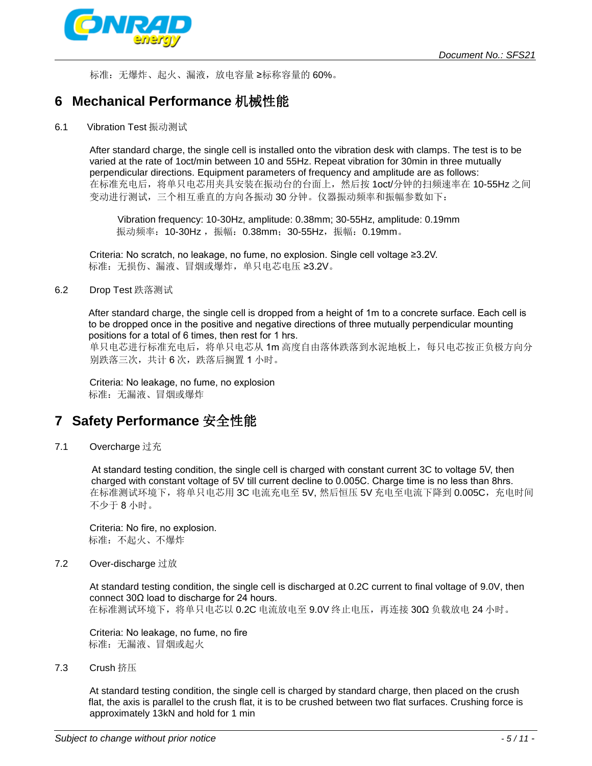

标准: 无爆炸、起火、漏液,放电容量 ≥标称容量的 60%。

### **6 Mechanical Performance** 机械性能

6.1 Vibration Test 振动测试

After standard charge, the single cell is installed onto the vibration desk with clamps. The test is to be varied at the rate of 1oct/min between 10 and 55Hz. Repeat vibration for 30min in three mutually perpendicular directions. Equipment parameters of frequency and amplitude are as follows: 在标准充电后,将单只电芯用夹具安装在振动台的台面上,然后按 1oct/分钟的扫频速率在 10-55Hz 之间 变动进行测试,三个相互垂直的方向各振动 30 分钟。仪器振动频率和振幅参数如下:

Vibration frequency: 10-30Hz, amplitude: 0.38mm; 30-55Hz, amplitude: 0.19mm 振动频率: 10-30Hz, 振幅: 0.38mm; 30-55Hz, 振幅: 0.19mm。

 Criteria: No scratch, no leakage, no fume, no explosion. Single cell voltage ≥3.2V. 标准: 无损伤、漏液、冒烟或爆炸, 单只电芯电压 ≥3.2V。

### 6.2 Drop Test 跌落测试

After standard charge, the single cell is dropped from a height of 1m to a concrete surface. Each cell is to be dropped once in the positive and negative directions of three mutually perpendicular mounting positions for a total of 6 times, then rest for 1 hrs. 单只电芯进行标准充电后,将单只电芯从 1m 高度自由落体跌落到水泥地板上, 每只电芯按正负极方向分

别跌落三次,共计 6次,跌落后搁置 1 小时。

 Criteria: No leakage, no fume, no explosion 标准:无漏液、冒烟或爆炸

### **7 Safety Performance** 安全性能

7.1 Overcharge 过充

 At standard testing condition, the single cell is charged with constant current 3C to voltage 5V, then charged with constant voltage of 5V till current decline to 0.005C. Charge time is no less than 8hrs. 在标准测试环境下,将单只电芯用 3C 电流充电至 5V, 然后恒压 5V 充电至电流下降到 0.005C,充电时间 不少于 8 小时。

 Criteria: No fire, no explosion. 标准:不起火、不爆炸

7.2 Over-discharge 过放

 At standard testing condition, the single cell is discharged at 0.2C current to final voltage of 9.0V, then connect 30Ω load to discharge for 24 hours. 在标准测试环境下,将单只电芯以 0.2C 电流放电至 9.0V 终止电压,再连接 30Ω 负载放电 24 小时。

 Criteria: No leakage, no fume, no fire 标准: 无漏液、冒烟或起火

7.3 Crush 挤压

 At standard testing condition, the single cell is charged by standard charge, then placed on the crush flat, the axis is parallel to the crush flat, it is to be crushed between two flat surfaces. Crushing force is approximately 13kN and hold for 1 min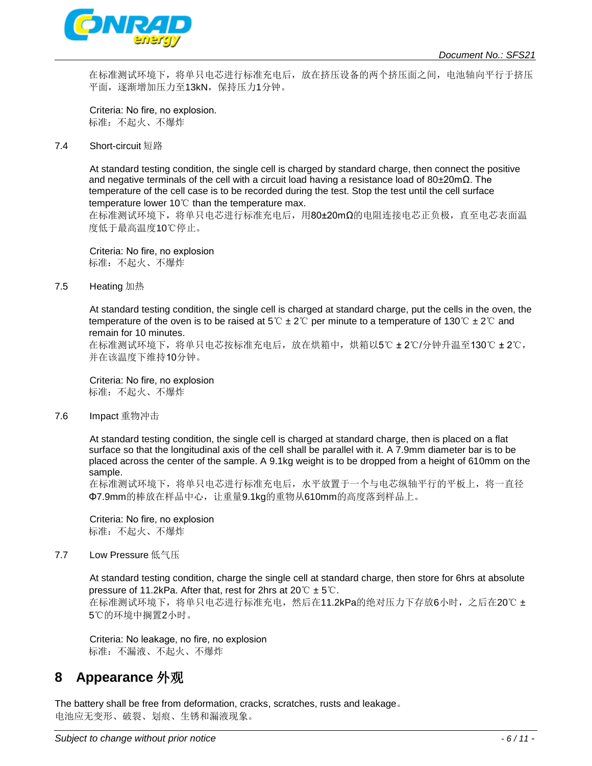

在标准测试环境下,将单只电芯进行标准充电后,放在挤压设备的两个挤压面之间,电池轴向平行于挤压 平面, 逐渐增加压力至13kN, 保持压力1分钟。

 Criteria: No fire, no explosion. 标准:不起火、不爆炸

7.4 Short-circuit 短路

 At standard testing condition, the single cell is charged by standard charge, then connect the positive and negative terminals of the cell with a circuit load having a resistance load of 80±20mΩ. The temperature of the cell case is to be recorded during the test. Stop the test until the cell surface temperature lower 10℃ than the temperature max.

在标准测试环境下,将单只电芯进行标准充电后,用80±20mΩ的电阻连接电芯正负极,直至电芯表面温 度低于最高温度10℃停止。

 Criteria: No fire, no explosion 标准: 不起火、不爆炸

7.5 Heating 加热

 At standard testing condition, the single cell is charged at standard charge, put the cells in the oven, the temperature of the oven is to be raised at 5℃ ± 2℃ per minute to a temperature of 130℃ ± 2℃ and remain for 10 minutes.

在标准测试环境下,将单只电芯按标准充电后,放在烘箱中,烘箱以5℃ ± 2℃/分钟升温至130℃ ± 2℃, 并在该温度下维持10分钟。

 Criteria: No fire, no explosion 标准:不起火、不爆炸

7.6 Impact 重物冲击

 At standard testing condition, the single cell is charged at standard charge, then is placed on a flat surface so that the longitudinal axis of the cell shall be parallel with it. A 7.9mm diameter bar is to be placed across the center of the sample. A 9.1kg weight is to be dropped from a height of 610mm on the sample.

在标准测试环境下,将单只电芯进行标准充电后,水平放置于一个与电芯纵轴平行的平板上,将一直径 Φ7.9mm的棒放在样品中心,让重量9.1kg的重物从610mm的高度落到样品上。

 Criteria: No fire, no explosion 标准:不起火、不爆炸

#### 7.7 Low Pressure 低气压

 At standard testing condition, charge the single cell at standard charge, then store for 6hrs at absolute pressure of 11.2kPa. After that, rest for 2hrs at 20℃ ± 5℃. 在标准测试环境下,将单只电芯进行标准充电,然后在11.2kPa的绝对压力下存放6小时,之后在20℃ ± 5℃的环境中搁置2小时。

 Criteria: No leakage, no fire, no explosion 标准: 不漏液、不起火、不爆炸

### **8 Appearance** 外观

The battery shall be free from deformation, cracks, scratches, rusts and leakage。 电池应无变形、破裂、划痕、生锈和漏液现象。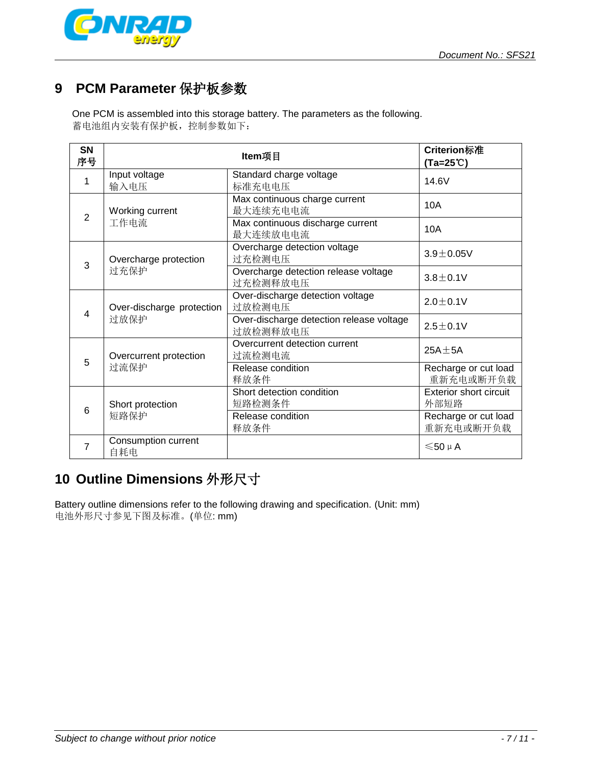

# **9 PCM Parameter** 保护板参数

One PCM is assembled into this storage battery. The parameters as the following. 蓄电池组内安装有保护板,控制参数如下:

| <b>SN</b><br>序号 | Item项目                            |                                                      | Criterion标准<br>$(Ta=25^{\circ}C)$     |
|-----------------|-----------------------------------|------------------------------------------------------|---------------------------------------|
| 1               | Input voltage<br>输入电压             | Standard charge voltage<br>标准充电电压                    | 14.6V                                 |
| $\overline{2}$  | Working current<br>工作电流           | Max continuous charge current<br>最大连续充电电流            | 10A                                   |
|                 |                                   | Max continuous discharge current<br>最大连续放电电流         | 10A                                   |
| 3               | Overcharge protection<br>过充保护     | Overcharge detection voltage<br>过充检测电压               | $3.9 + 0.05V$                         |
|                 |                                   | Overcharge detection release voltage<br>过充检测释放电压     | $3.8 \pm 0.1$ V                       |
| 4               | Over-discharge protection<br>过放保护 | Over-discharge detection voltage<br>过放检测电压           | $2.0 \pm 0.1$ V                       |
|                 |                                   | Over-discharge detection release voltage<br>过放检测释放电压 | $2.5 \pm 0.1V$                        |
| 5               | Overcurrent protection<br>过流保护    | Overcurrent detection current<br>过流检测电流              | $25A + 5A$                            |
|                 |                                   | Release condition<br>释放条件                            | Recharge or cut load<br>重新充电或断开负载     |
| 6               | Short protection<br>短路保护          | Short detection condition<br>短路检测条件                  | <b>Exterior short circuit</b><br>外部短路 |
|                 |                                   | Release condition<br>释放条件                            | Recharge or cut load<br>重新充电或断开负载     |
| 7               | Consumption current<br>自耗电        |                                                      | $≤50 \mu A$                           |

# **10 Outline Dimensions** 外形尺寸

Battery outline dimensions refer to the following drawing and specification. (Unit: mm) 电池外形尺寸参见下图及标准。(单位: mm)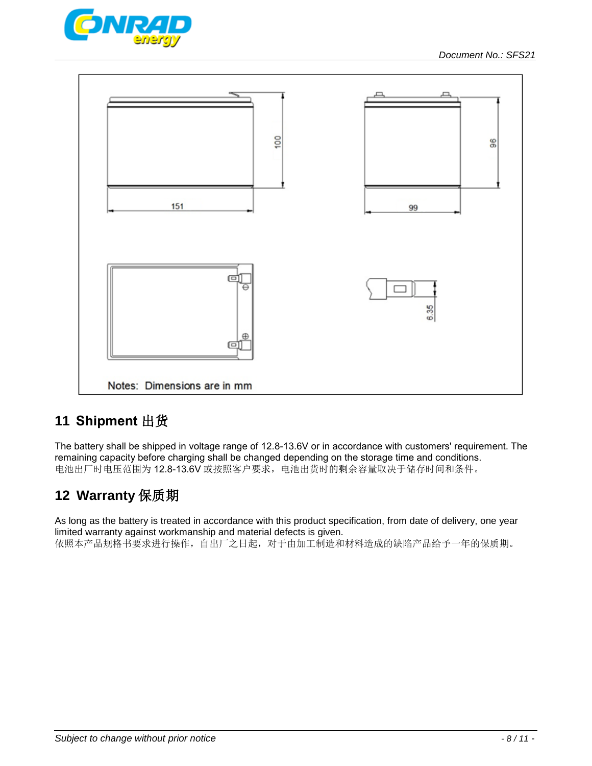



# **11 Shipment** 出货

The battery shall be shipped in voltage range of 12.8-13.6V or in accordance with customers' requirement. The remaining capacity before charging shall be changed depending on the storage time and conditions. 电池出厂时电压范围为 12.8-13.6V 或按照客户要求,电池出货时的剩余容量取决于储存时间和条件。

# **12 Warranty** 保质期

As long as the battery is treated in accordance with this product specification, from date of delivery, one year limited warranty against workmanship and material defects is given. 依照本产品规格书要求进行操作,自出厂之日起,对于由加工制造和材料造成的缺陷产品给予一年的保质期。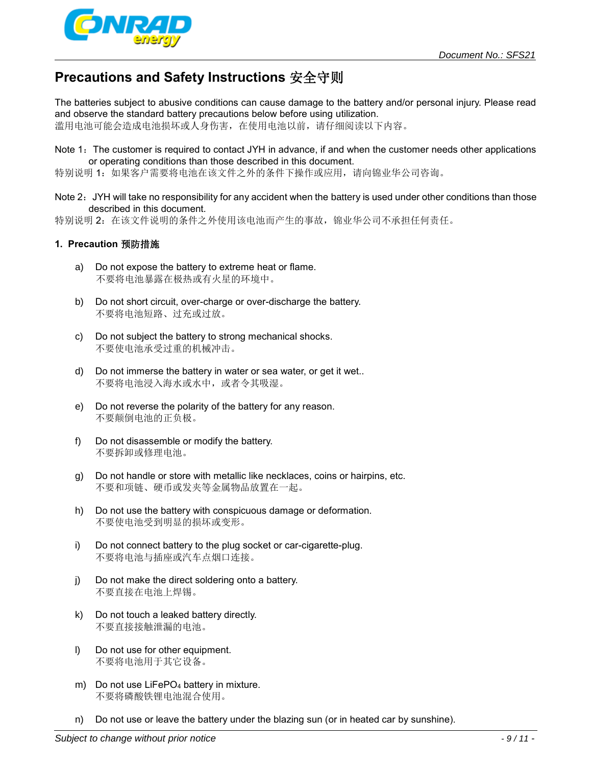

# **Precautions and Safety Instructions** 安全守则

The batteries subject to abusive conditions can cause damage to the battery and/or personal injury. Please read and observe the standard battery precautions below before using utilization.

滥用电池可能会造成电池损坏或人身伤害,在使用电池以前,请仔细阅读以下内容。

Note 1: The customer is required to contact JYH in advance, if and when the customer needs other applications or operating conditions than those described in this document.

特别说明 1:如果客户需要将电池在该文件之外的条件下操作或应用,请向锦业华公司咨询。

Note 2: JYH will take no responsibility for any accident when the battery is used under other conditions than those described in this document.

特别说明 2:在该文件说明的条件之外使用该电池而产生的事故,锦业华公司不承担任何责任。

### **1. Precaution** 预防措施

- a) Do not expose the battery to extreme heat or flame. 不要将电池暴露在极热或有火星的环境中。
- b) Do not short circuit, over-charge or over-discharge the battery. 不要将电池短路、过充或过放。
- c) Do not subject the battery to strong mechanical shocks. 不要使电池承受过重的机械冲击。
- d) Do not immerse the battery in water or sea water, or get it wet.. 不要将电池浸入海水或水中,或者令其吸湿。
- e) Do not reverse the polarity of the battery for any reason. 不要颠倒电池的正负极。
- f) Do not disassemble or modify the battery. 不要拆卸或修理电池。
- g) Do not handle or store with metallic like necklaces, coins or hairpins, etc. 不要和项链、硬币或发夹等金属物品放置在一起。
- h) Do not use the battery with conspicuous damage or deformation. 不要使电池受到明显的损坏或变形。
- i) Do not connect battery to the plug socket or car-cigarette-plug. 不要将电池与插座或汽车点烟口连接。
- j) Do not make the direct soldering onto a battery. 不要直接在电池上焊锡。
- k) Do not touch a leaked battery directly. 不要直接接触泄漏的电池。
- l) Do not use for other equipment. 不要将电池用于其它设备。
- m) Do not use LiFePO<sub>4</sub> battery in mixture. 不要将磷酸铁锂电池混合使用。
- n) Do not use or leave the battery under the blazing sun (or in heated car by sunshine).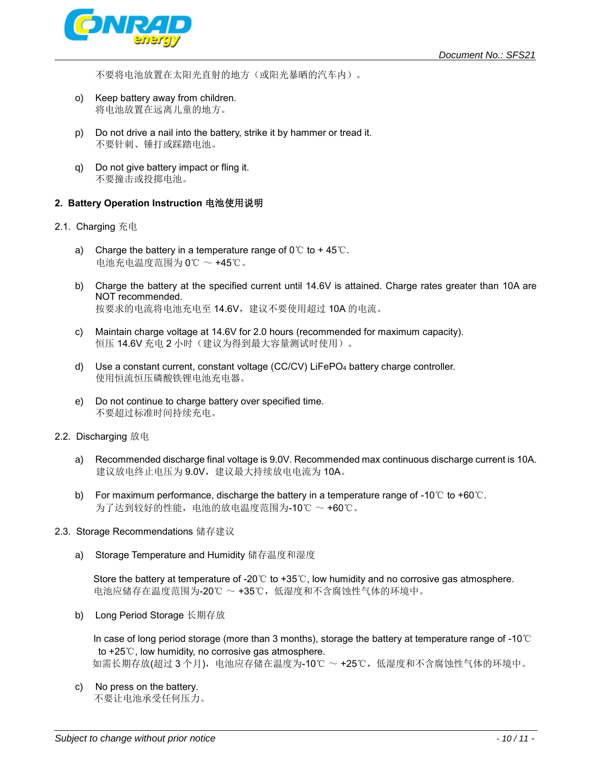

不要将电池放置在太阳光直射的地方(或阳光暴晒的汽车内)。

- o) Keep battery away from children. 将电池放置在远离儿童的地方。
- p) Do not drive a nail into the battery, strike it by hammer or tread it. 不要针刺、锤打或踩踏电池。
- q) Do not give battery impact or fling it. 不要撞击或投掷电池。

### **2. Battery Operation Instruction** 电池使用说明

- 2.1. Charging 充电
	- a) Charge the battery in a temperature range of  $0^{\circ}$  to +45 $^{\circ}$ C. 电池充电温度范围为 0℃ ~ +45℃。
	- b) Charge the battery at the specified current until 14.6V is attained. Charge rates greater than 10A are NOT recommended. 按要求的电流将电池充电至 14.6V,建议不要使用超过 10A 的电流。
	- c) Maintain charge voltage at 14.6V for 2.0 hours (recommended for maximum capacity). 恒压 14.6V 充电 2 小时(建议为得到最大容量测试时使用)。
	- d) Use a constant current, constant voltage (CC/CV) LiFePO4 battery charge controller. 使用恒流恒压磷酸铁锂电池充电器。
	- e) Do not continue to charge battery over specified time. 不要超过标准时间持续充电。
- 2.2. Discharging 放电
	- a) Recommended discharge final voltage is 9.0V. Recommended max continuous discharge current is 10A. 建议放电终止电压为 9.0V, 建议最大持续放电电流为 10A。
	- b) For maximum performance, discharge the battery in a temperature range of -10℃ to +60℃. 为了达到较好的性能,电池的放电温度范围为-10℃ ~ +60℃。
- 2.3. Storage Recommendations 储存建议
	- a) Storage Temperature and Humidity 储存温度和湿度

Store the battery at temperature of -20℃ to +35℃, low humidity and no corrosive gas atmosphere. 电池应储存在温度范围为-20℃ ~ +35℃,低湿度和不含腐蚀性气体的环境中。

b) Long Period Storage 长期存放

In case of long period storage (more than 3 months), storage the battery at temperature range of -10℃ to +25℃, low humidity, no corrosive gas atmosphere. 如需长期存放(超过 3 个月),电池应存储在温度为-10℃ ~ +25℃,低湿度和不含腐蚀性气体的环境中。

c) No press on the battery. 不要让电池承受任何压力。